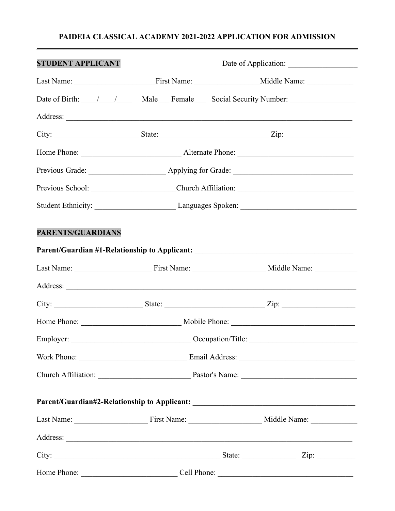#### **PAIDEIA CLASSICAL ACADEMY 2021-2022 APPLICATION FOR ADMISSION**  \_\_\_\_\_\_\_\_\_\_\_\_\_\_\_\_\_\_\_\_\_\_\_\_\_\_\_\_\_\_\_\_\_\_\_\_\_\_\_\_\_\_\_\_\_\_\_\_\_\_\_\_\_\_\_\_\_\_\_\_\_\_\_\_\_\_\_\_\_\_\_\_\_\_\_\_\_\_\_\_\_\_\_

| <b>STUDENT APPLICANT</b> |  |  |                                                                                  |  |  |
|--------------------------|--|--|----------------------------------------------------------------------------------|--|--|
|                          |  |  |                                                                                  |  |  |
|                          |  |  |                                                                                  |  |  |
|                          |  |  |                                                                                  |  |  |
|                          |  |  |                                                                                  |  |  |
|                          |  |  |                                                                                  |  |  |
|                          |  |  |                                                                                  |  |  |
|                          |  |  |                                                                                  |  |  |
|                          |  |  |                                                                                  |  |  |
| PARENTS/GUARDIANS        |  |  |                                                                                  |  |  |
|                          |  |  | Parent/Guardian #1-Relationship to Applicant: __________________________________ |  |  |
|                          |  |  |                                                                                  |  |  |
|                          |  |  |                                                                                  |  |  |
|                          |  |  |                                                                                  |  |  |
|                          |  |  |                                                                                  |  |  |
|                          |  |  |                                                                                  |  |  |
|                          |  |  |                                                                                  |  |  |
|                          |  |  |                                                                                  |  |  |
|                          |  |  | Parent/Guardian#2-Relationship to Applicant: ___________________________________ |  |  |
|                          |  |  |                                                                                  |  |  |
|                          |  |  |                                                                                  |  |  |
|                          |  |  |                                                                                  |  |  |
|                          |  |  |                                                                                  |  |  |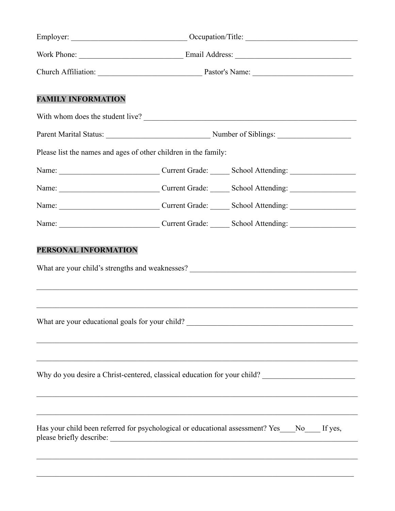|                                                                                                                                                                                                                                                         | With whom does the student live?                                                                                                                                                                                 |  |  |  |  |
|---------------------------------------------------------------------------------------------------------------------------------------------------------------------------------------------------------------------------------------------------------|------------------------------------------------------------------------------------------------------------------------------------------------------------------------------------------------------------------|--|--|--|--|
|                                                                                                                                                                                                                                                         |                                                                                                                                                                                                                  |  |  |  |  |
| Please list the names and ages of other children in the family:                                                                                                                                                                                         |                                                                                                                                                                                                                  |  |  |  |  |
|                                                                                                                                                                                                                                                         |                                                                                                                                                                                                                  |  |  |  |  |
|                                                                                                                                                                                                                                                         |                                                                                                                                                                                                                  |  |  |  |  |
|                                                                                                                                                                                                                                                         |                                                                                                                                                                                                                  |  |  |  |  |
|                                                                                                                                                                                                                                                         |                                                                                                                                                                                                                  |  |  |  |  |
|                                                                                                                                                                                                                                                         |                                                                                                                                                                                                                  |  |  |  |  |
|                                                                                                                                                                                                                                                         | What are your educational goals for your child? ________________________________                                                                                                                                 |  |  |  |  |
| <u> 1989 - Johann Stoff, amerikansk politiker (d. 1989)</u><br>Why do you desire a Christ-centered, classical education for your child? ___________________________<br>,我们也不能在这里的时候,我们也不能在这里的时候,我们也不能会在这里的时候,我们也不能会在这里的时候,我们也不能会在这里的时候,我们也不能会在这里的时候,我们也 |                                                                                                                                                                                                                  |  |  |  |  |
|                                                                                                                                                                                                                                                         | <u> 1989 - Andrea Santa Andrea Andrea Andrea Andrea Andrea Andrea Andrea Andrea Andrea Andrea Andrea Andrea Andr</u><br>Has your child been referred for psychological or educational assessment? Yes No If yes, |  |  |  |  |
|                                                                                                                                                                                                                                                         |                                                                                                                                                                                                                  |  |  |  |  |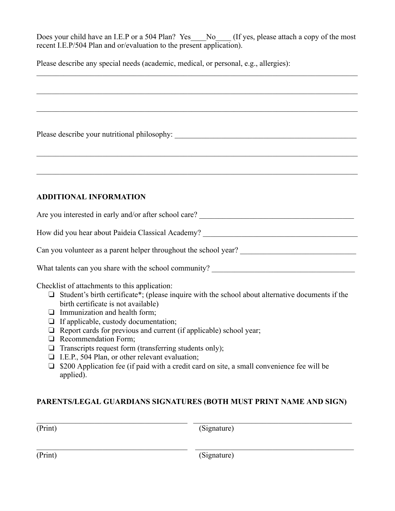Does your child have an I.E.P or a 504 Plan? Yes No (If yes, please attach a copy of the most recent I.E.P/504 Plan and or/evaluation to the present application).

Please describe any special needs (academic, medical, or personal, e.g., allergies):

Please describe your nutritional philosophy: \_\_\_\_\_\_\_\_\_\_\_\_\_\_\_\_\_\_\_\_\_\_\_\_\_\_\_\_\_\_\_\_\_\_\_\_\_\_\_\_\_\_\_\_\_\_\_

### **ADDITIONAL INFORMATION**

Are you interested in early and/or after school care?

How did you hear about Paideia Classical Academy? \_\_\_\_\_\_\_\_\_\_\_\_\_\_\_\_\_\_\_\_\_\_\_\_\_\_\_\_\_\_

Can you volunteer as a parent helper throughout the school year? \_\_\_\_\_\_\_\_\_\_\_\_\_\_\_\_\_\_\_\_\_\_\_\_\_\_\_\_\_\_

What talents can you share with the school community?

Checklist of attachments to this application:

- ❏ Student's birth certificate\*; (please inquire with the school about alternative documents if the birth certificate is not available)
- ❏ Immunization and health form;
- ❏ If applicable, custody documentation;
- ❏ Report cards for previous and current (if applicable) school year;
- ❏ Recommendation Form;
- ❏ Transcripts request form (transferring students only);
- ❏ I.E.P., 504 Plan, or other relevant evaluation;
- ❏ \$200 Application fee (if paid with a credit card on site, a small convenience fee will be applied).

#### **PARENTS/LEGAL GUARDIANS SIGNATURES (BOTH MUST PRINT NAME AND SIGN)**

(Print) (Signature)

(Print) (Signature)